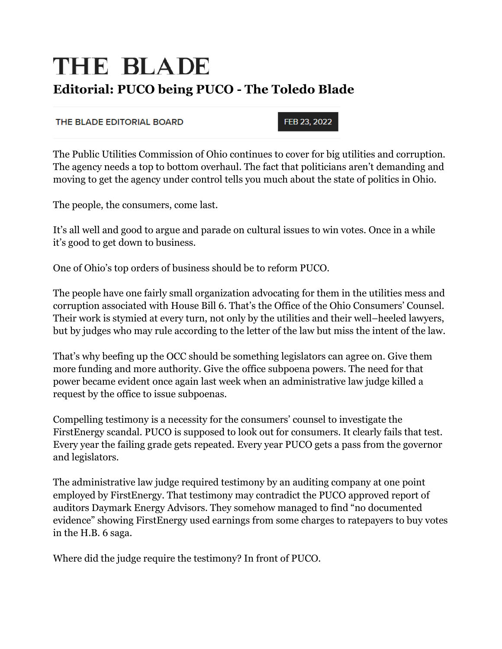## THE BLADE **Editorial: PUCO being PUCO - The Toledo Blade**

## THE BLADE EDITORIAL BOARD

FEB 23, 2022

The Public Utilities Commission of Ohio continues to cover for big utilities and corruption. The agency needs a top to bottom overhaul. The fact that politicians aren't demanding and moving to get the agency under control tells you much about the state of politics in Ohio.

The people, the consumers, come last.

It's all well and good to argue and parade on cultural issues to win votes. Once in a while it's good to get down to business.

One of Ohio's top orders of business should be to reform PUCO.

The people have one fairly small organization advocating for them in the utilities mess and corruption associated with House Bill 6. That's the Office of the Ohio Consumers' Counsel. Their work is stymied at every turn, not only by the utilities and their well–heeled lawyers, but by judges who may rule according to the letter of the law but miss the intent of the law.

That's why beefing up the OCC should be something legislators can agree on. Give them more funding and more authority. Give the office subpoena powers. The need for that power became evident once again last week when an administrative law judge killed a request by the office to issue subpoenas.

Compelling testimony is a necessity for the consumers' counsel to investigate the FirstEnergy scandal. PUCO is supposed to look out for consumers. It clearly fails that test. Every year the failing grade gets repeated. Every year PUCO gets a pass from the governor and legislators.

The administrative law judge required testimony by an auditing company at one point employed by FirstEnergy. That testimony may contradict the PUCO approved report of auditors Daymark Energy Advisors. They somehow managed to find "no documented evidence" showing FirstEnergy used earnings from some charges to ratepayers to buy votes in the H.B. 6 saga.

Where did the judge require the testimony? In front of PUCO.